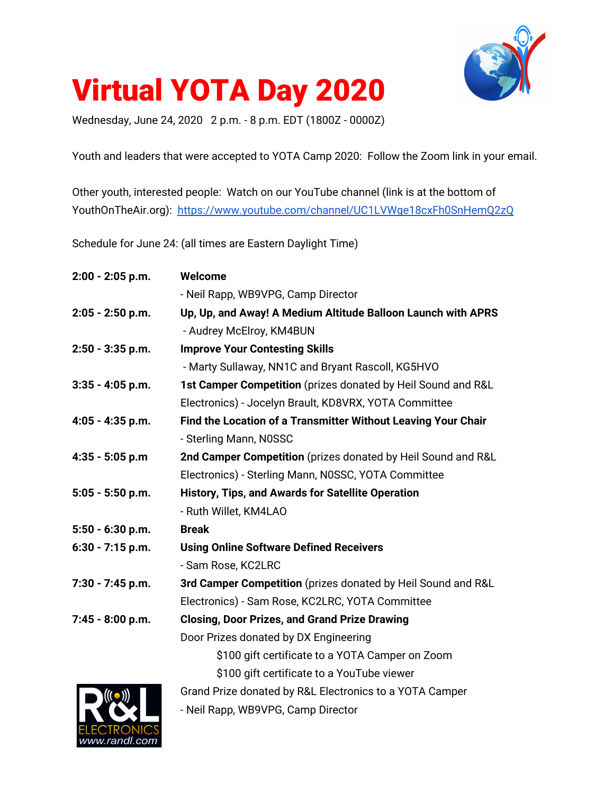

# Virtual YOTA Day 2020

Wednesday, June 24, 2020 2 p.m. - 8 p.m. EDT (1800Z - 0000Z)

Youth and leaders that were accepted to YOTA Camp 2020: Follow the Zoom link in your email.

Other youth, interested people: Watch on our YouTube channel (link is at the bottom of YouthOnTheAir.org): <https://www.youtube.com/channel/UC1LVWge18cxFh0SnHemQ2zQ>

Schedule for June 24: (all times are Eastern Daylight Time)

| 2:00 - 2:05 p.m.   | Welcome                                                       |
|--------------------|---------------------------------------------------------------|
|                    | - Neil Rapp, WB9VPG, Camp Director                            |
| $2:05 - 2:50$ p.m. | Up, Up, and Away! A Medium Altitude Balloon Launch with APRS  |
|                    | - Audrey McElroy, KM4BUN                                      |
| 2:50 - 3:35 p.m.   | <b>Improve Your Contesting Skills</b>                         |
|                    | - Marty Sullaway, NN1C and Bryant Rascoll, KG5HVO             |
| $3:35 - 4:05$ p.m. | 1st Camper Competition (prizes donated by Heil Sound and R&L  |
|                    | Electronics) - Jocelyn Brault, KD8VRX, YOTA Committee         |
| 4:05 - 4:35 p.m.   | Find the Location of a Transmitter Without Leaving Your Chair |
|                    | - Sterling Mann, N0SSC                                        |
| $4:35 - 5:05$ p.m  | 2nd Camper Competition (prizes donated by Heil Sound and R&L  |
|                    | Electronics) - Sterling Mann, N0SSC, YOTA Committee           |
| $5:05 - 5:50$ p.m. | History, Tips, and Awards for Satellite Operation             |
|                    | - Ruth Willet, KM4LAO                                         |
| $5:50 - 6:30$ p.m. | <b>Break</b>                                                  |
| $6:30 - 7:15$ p.m. | <b>Using Online Software Defined Receivers</b>                |
|                    | - Sam Rose, KC2LRC                                            |
| 7:30 - 7:45 p.m.   | 3rd Camper Competition (prizes donated by Heil Sound and R&L  |
|                    | Electronics) - Sam Rose, KC2LRC, YOTA Committee               |
| 7:45 - 8:00 p.m.   | <b>Closing, Door Prizes, and Grand Prize Drawing</b>          |
|                    | Door Prizes donated by DX Engineering                         |
|                    | \$100 gift certificate to a YOTA Camper on Zoom               |
|                    | \$100 gift certificate to a YouTube viewer                    |
| ((( • )))          | Grand Prize donated by R&L Electronics to a YOTA Camper       |
|                    | - Neil Rapp, WB9VPG, Camp Director                            |